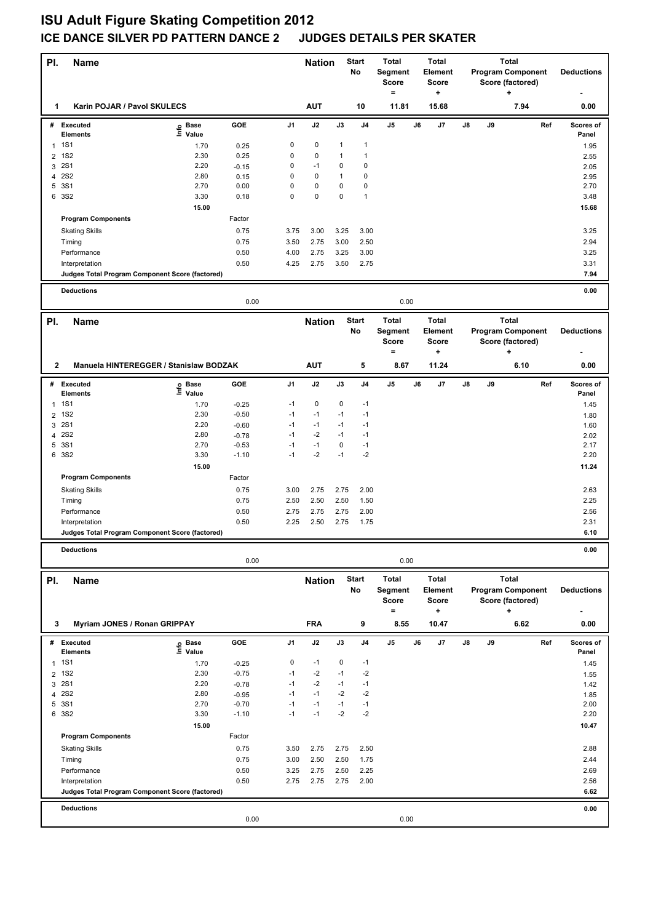| PI.            | <b>Name</b>                                     |                                  |              |                | <b>Nation</b> | <b>Start</b><br><b>Total</b><br>No<br>Segment<br><b>Score</b><br>$\equiv$<br>+ |                | <b>Total</b><br>Element<br><b>Score</b> | Total<br><b>Program Component</b><br>Score (factored)<br>٠ |                    |    |    | <b>Deductions</b>        |     |                    |
|----------------|-------------------------------------------------|----------------------------------|--------------|----------------|---------------|--------------------------------------------------------------------------------|----------------|-----------------------------------------|------------------------------------------------------------|--------------------|----|----|--------------------------|-----|--------------------|
| 1              | Karin POJAR / Pavol SKULECS                     |                                  |              |                | <b>AUT</b>    |                                                                                | 10             | 11.81                                   |                                                            | 15.68              |    |    | 7.94                     |     | 0.00               |
| #              | <b>Executed</b>                                 | <b>Base</b><br>e Base<br>⊆ Value | GOE          | J <sub>1</sub> | J2            | J3                                                                             | J <sub>4</sub> | J5                                      | J6                                                         | J7                 | J8 | J9 |                          | Ref | Scores of          |
| 1              | <b>Elements</b><br><b>1S1</b>                   | 1.70                             | 0.25         | 0              | 0             | 1                                                                              | $\mathbf{1}$   |                                         |                                                            |                    |    |    |                          |     | Panel<br>1.95      |
| 2              | <b>1S2</b>                                      | 2.30                             | 0.25         | 0              | $\pmb{0}$     | 1                                                                              | $\mathbf{1}$   |                                         |                                                            |                    |    |    |                          |     | 2.55               |
| 3              | <b>2S1</b>                                      | 2.20                             | $-0.15$      | 0              | $-1$          | 0                                                                              | 0              |                                         |                                                            |                    |    |    |                          |     | 2.05               |
| 4              | <b>2S2</b>                                      | 2.80                             | 0.15         | 0              | $\pmb{0}$     | 1                                                                              | $\pmb{0}$      |                                         |                                                            |                    |    |    |                          |     | 2.95               |
| 5              | 3S1                                             | 2.70                             | 0.00         | 0              | $\pmb{0}$     | 0                                                                              | $\mathbf 0$    |                                         |                                                            |                    |    |    |                          |     | 2.70               |
| 6              | 3S2                                             | 3.30                             | 0.18         | 0              | $\pmb{0}$     | 0                                                                              | $\mathbf{1}$   |                                         |                                                            |                    |    |    |                          |     | 3.48               |
|                |                                                 | 15.00                            |              |                |               |                                                                                |                |                                         |                                                            |                    |    |    |                          |     | 15.68              |
|                | <b>Program Components</b>                       |                                  | Factor       |                |               |                                                                                |                |                                         |                                                            |                    |    |    |                          |     |                    |
|                | <b>Skating Skills</b>                           |                                  | 0.75         | 3.75           | 3.00          | 3.25                                                                           | 3.00           |                                         |                                                            |                    |    |    |                          |     | 3.25               |
|                | Timing                                          |                                  | 0.75         | 3.50           | 2.75          | 3.00                                                                           | 2.50           |                                         |                                                            |                    |    |    |                          |     | 2.94               |
|                | Performance                                     |                                  | 0.50         | 4.00           | 2.75          | 3.25                                                                           | 3.00           |                                         |                                                            |                    |    |    |                          |     | 3.25               |
|                | Interpretation                                  |                                  | 0.50         | 4.25           | 2.75          | 3.50                                                                           | 2.75           |                                         |                                                            |                    |    |    |                          |     | 3.31               |
|                | Judges Total Program Component Score (factored) |                                  |              |                |               |                                                                                |                |                                         |                                                            |                    |    |    |                          |     | 7.94               |
|                | <b>Deductions</b>                               |                                  |              |                |               |                                                                                |                |                                         |                                                            |                    |    |    |                          |     | 0.00               |
|                |                                                 |                                  | 0.00         |                |               |                                                                                |                | 0.00                                    |                                                            |                    |    |    |                          |     |                    |
| PI.            | <b>Name</b>                                     |                                  |              |                | <b>Nation</b> |                                                                                | <b>Start</b>   | <b>Total</b>                            |                                                            | <b>Total</b>       |    |    | <b>Total</b>             |     |                    |
|                |                                                 |                                  |              |                |               |                                                                                | No             | Segment                                 |                                                            | Element            |    |    | <b>Program Component</b> |     | <b>Deductions</b>  |
|                |                                                 |                                  |              |                |               |                                                                                |                | Score                                   |                                                            | Score              |    |    | Score (factored)         |     |                    |
|                |                                                 |                                  |              |                |               |                                                                                |                | $=$                                     |                                                            | +                  |    |    | ÷                        |     |                    |
| $\mathbf{2}$   | Manuela HINTEREGGER / Stanislaw BODZAK          |                                  |              |                | <b>AUT</b>    |                                                                                | 5              | 8.67                                    |                                                            | 11.24              |    |    | 6.10                     |     | 0.00               |
|                | # Executed<br><b>Elements</b>                   | e Base<br>E Value<br>Value       | GOE          | J <sub>1</sub> | J2            | J3                                                                             | J <sub>4</sub> | J5                                      | J6                                                         | J7                 | J8 | J9 |                          | Ref | Scores of<br>Panel |
| 1              | <b>1S1</b>                                      | 1.70                             | $-0.25$      | -1             | $\pmb{0}$     | 0                                                                              | $-1$           |                                         |                                                            |                    |    |    |                          |     | 1.45               |
| $\overline{2}$ | <b>1S2</b>                                      | 2.30                             | $-0.50$      | $-1$           | $-1$          | $-1$                                                                           | $-1$           |                                         |                                                            |                    |    |    |                          |     | 1.80               |
| 3              | <b>2S1</b>                                      | 2.20                             | $-0.60$      | $-1$           | $-1$          | $-1$                                                                           | $-1$           |                                         |                                                            |                    |    |    |                          |     | 1.60               |
| 4              | <b>2S2</b>                                      | 2.80                             | $-0.78$      | $-1$           | $-2$          | $-1$                                                                           | $-1$           |                                         |                                                            |                    |    |    |                          |     | 2.02               |
| 5              | 3S1                                             | 2.70                             | $-0.53$      | $-1$           | $-1$          | 0                                                                              | $-1$           |                                         |                                                            |                    |    |    |                          |     | 2.17               |
|                | 6 3S2                                           | 3.30                             | $-1.10$      | $-1$           | $-2$          | $-1$                                                                           | $-2$           |                                         |                                                            |                    |    |    |                          |     | 2.20               |
|                |                                                 | 15.00                            |              |                |               |                                                                                |                |                                         |                                                            |                    |    |    |                          |     | 11.24              |
|                | <b>Program Components</b>                       |                                  | Factor       |                |               |                                                                                |                |                                         |                                                            |                    |    |    |                          |     |                    |
|                | <b>Skating Skills</b>                           |                                  | 0.75         | 3.00           | 2.75          | 2.75                                                                           | 2.00           |                                         |                                                            |                    |    |    |                          |     | 2.63               |
|                | Timing                                          |                                  | 0.75         | 2.50           | 2.50          | 2.50                                                                           | 1.50           |                                         |                                                            |                    |    |    |                          |     | 2.25               |
|                | Performance                                     |                                  | 0.50         | 2.75           | 2.75          | 2.75                                                                           | 2.00           |                                         |                                                            |                    |    |    |                          |     | 2.56               |
|                | Interpretation                                  |                                  | 0.50         | 2.25           | 2.50          | 2.75                                                                           | 1.75           |                                         |                                                            |                    |    |    |                          |     | 2.31               |
|                | Judges Total Program Component Score (factored) |                                  |              |                |               |                                                                                |                |                                         |                                                            |                    |    |    |                          |     | 6.10               |
|                | <b>Deductions</b>                               |                                  |              |                |               |                                                                                |                |                                         |                                                            |                    |    |    |                          |     | 0.00               |
|                |                                                 |                                  | 0.00         |                |               |                                                                                |                | 0.00                                    |                                                            |                    |    |    |                          |     |                    |
| PI.            | <b>Name</b>                                     |                                  |              |                | <b>Nation</b> |                                                                                | <b>Start</b>   | <b>Total</b>                            |                                                            | <b>Total</b>       |    |    | <b>Total</b>             |     |                    |
|                |                                                 |                                  |              |                |               |                                                                                | No             | Segment                                 |                                                            | Element            |    |    | <b>Program Component</b> |     | <b>Deductions</b>  |
|                |                                                 |                                  |              |                |               |                                                                                |                | Score<br>$=$                            |                                                            | Score<br>$\ddot{}$ |    |    | Score (factored)<br>+    |     |                    |
| 3              | <b>Myriam JONES / Ronan GRIPPAY</b>             |                                  |              |                | <b>FRA</b>    |                                                                                | 9              | 8.55                                    |                                                            | 10.47              |    |    | 6.62                     |     | 0.00               |
|                | # Executed                                      |                                  | GOE          | J1             | J2            | J3                                                                             | J4             | J5                                      | J6                                                         | J7                 | J8 | J9 |                          | Ref | Scores of          |
|                | <b>Elements</b>                                 | e Base<br>⊆ Value                |              |                |               |                                                                                |                |                                         |                                                            |                    |    |    |                          |     | Panel              |
| $\mathbf{1}$   | <b>1S1</b>                                      | 1.70                             | $-0.25$      | 0              | $-1$          | 0                                                                              | $-1$           |                                         |                                                            |                    |    |    |                          |     | 1.45               |
|                | 2 1S2                                           | 2.30                             | $-0.75$      | $-1$           | $-2$          | $-1$                                                                           | $-2$           |                                         |                                                            |                    |    |    |                          |     | 1.55               |
| 3              | <b>2S1</b>                                      | 2.20                             | $-0.78$      | $-1$           | $-2$          | $-1$                                                                           | $-1$           |                                         |                                                            |                    |    |    |                          |     | 1.42               |
|                | 4 2 S 2                                         | 2.80                             | $-0.95$      | $-1$           | $-1$          | $-2$                                                                           | $-2$           |                                         |                                                            |                    |    |    |                          |     | 1.85               |
|                | 5 3S1                                           | 2.70                             | $-0.70$      | $-1$           | $-1$          | $-1$                                                                           | $-1$           |                                         |                                                            |                    |    |    |                          |     | 2.00               |
|                | 6 3S2                                           | 3.30                             | $-1.10$      | $-1$           | $-1$          | $-2$                                                                           | $-2$           |                                         |                                                            |                    |    |    |                          |     | 2.20               |
|                | <b>Program Components</b>                       | 15.00                            |              |                |               |                                                                                |                |                                         |                                                            |                    |    |    |                          |     | 10.47              |
|                |                                                 |                                  | Factor       |                |               |                                                                                |                |                                         |                                                            |                    |    |    |                          |     |                    |
|                | <b>Skating Skills</b>                           |                                  | 0.75         | 3.50           | 2.75          | 2.75                                                                           | 2.50           |                                         |                                                            |                    |    |    |                          |     | 2.88               |
|                | Timing<br>Performance                           |                                  | 0.75<br>0.50 | 3.00<br>3.25   | 2.50<br>2.75  | 2.50<br>2.50                                                                   | 1.75<br>2.25   |                                         |                                                            |                    |    |    |                          |     | 2.44<br>2.69       |
|                | Interpretation                                  |                                  | 0.50         | 2.75           | 2.75          | 2.75                                                                           | 2.00           |                                         |                                                            |                    |    |    |                          |     | 2.56               |
|                | Judges Total Program Component Score (factored) |                                  |              |                |               |                                                                                |                |                                         |                                                            |                    |    |    |                          |     | 6.62               |
|                | <b>Deductions</b>                               |                                  |              |                |               |                                                                                |                |                                         |                                                            |                    |    |    |                          |     | 0.00               |
|                |                                                 |                                  | 0.00         |                |               |                                                                                |                | 0.00                                    |                                                            |                    |    |    |                          |     |                    |
|                |                                                 |                                  |              |                |               |                                                                                |                |                                         |                                                            |                    |    |    |                          |     |                    |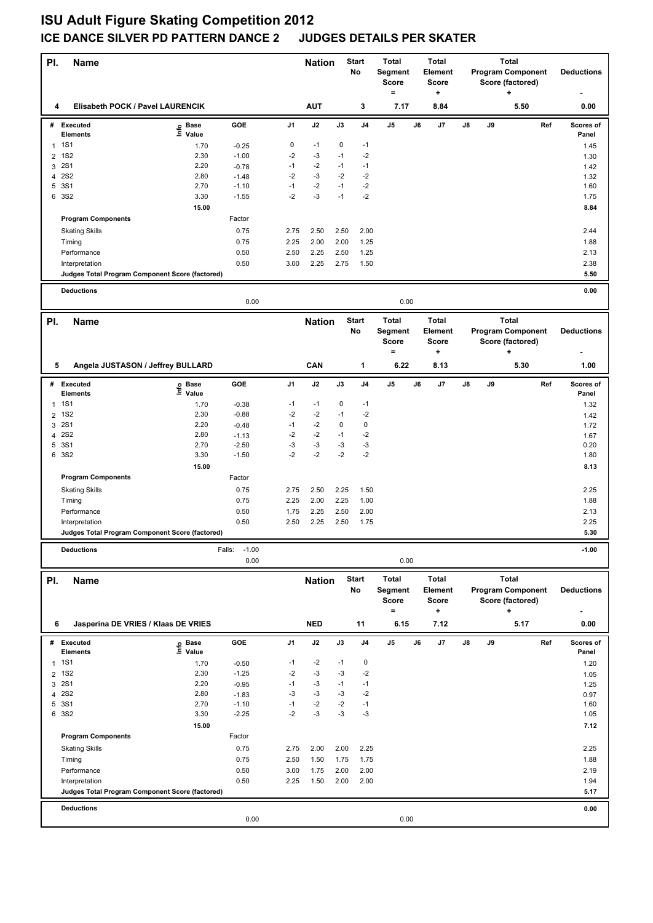| PI.                            | <b>Name</b>                                     |                    |                    |              | <b>Nation</b> |            | <b>Start</b><br>No | <b>Total</b><br>Segment<br><b>Score</b><br>$=$ |    | <b>Total</b><br><b>Element</b><br><b>Score</b><br>٠ |    |    | Total<br><b>Program Component</b><br>Score (factored)<br>٠ |     | <b>Deductions</b>  |
|--------------------------------|-------------------------------------------------|--------------------|--------------------|--------------|---------------|------------|--------------------|------------------------------------------------|----|-----------------------------------------------------|----|----|------------------------------------------------------------|-----|--------------------|
| 4                              | Elisabeth POCK / Pavel LAURENCIK                |                    |                    |              | <b>AUT</b>    |            | 3                  | 7.17                                           |    | 8.84                                                |    |    | 5.50                                                       |     | 0.00               |
| #                              | <b>Executed</b><br><b>Elements</b>              | e Base<br>⊑ Value  | GOE                | J1           | J2            | J3         | J <sub>4</sub>     | J5                                             | J6 | J7                                                  | J8 | J9 |                                                            | Ref | Scores of<br>Panel |
| $\mathbf{1}$                   | <b>1S1</b>                                      | 1.70               | $-0.25$            | 0            | $-1$          | 0          | $-1$               |                                                |    |                                                     |    |    |                                                            |     | 1.45               |
| 2                              | <b>1S2</b>                                      | 2.30               | $-1.00$            | $-2$         | $-3$          | $-1$       | $-2$               |                                                |    |                                                     |    |    |                                                            |     | 1.30               |
| 3                              | <b>2S1</b>                                      | 2.20               | $-0.78$            | $-1$         | $-2$          | $-1$       | $-1$               |                                                |    |                                                     |    |    |                                                            |     | 1.42               |
| 4                              | <b>2S2</b>                                      | 2.80               | $-1.48$            | -2           | -3            | -2         | -2                 |                                                |    |                                                     |    |    |                                                            |     | 1.32               |
| 5                              | 3S1                                             | 2.70               | $-1.10$            | $-1$         | $-2$          | $-1$       | $-2$               |                                                |    |                                                     |    |    |                                                            |     | 1.60               |
| 6                              | 3S2                                             | 3.30               | $-1.55$            | $-2$         | $-3$          | $-1$       | $-2$               |                                                |    |                                                     |    |    |                                                            |     | 1.75               |
|                                |                                                 | 15.00              |                    |              |               |            |                    |                                                |    |                                                     |    |    |                                                            |     | 8.84               |
|                                | <b>Program Components</b>                       |                    | Factor             |              |               |            |                    |                                                |    |                                                     |    |    |                                                            |     |                    |
|                                | <b>Skating Skills</b>                           |                    | 0.75               | 2.75         | 2.50          | 2.50       | 2.00               |                                                |    |                                                     |    |    |                                                            |     | 2.44               |
|                                | Timing                                          |                    | 0.75               | 2.25         | 2.00          | 2.00       | 1.25               |                                                |    |                                                     |    |    |                                                            |     | 1.88               |
|                                | Performance                                     |                    | 0.50               | 2.50         | 2.25          | 2.50       | 1.25               |                                                |    |                                                     |    |    |                                                            |     | 2.13               |
|                                | Interpretation                                  |                    | 0.50               | 3.00         | 2.25          | 2.75       | 1.50               |                                                |    |                                                     |    |    |                                                            |     | 2.38               |
|                                | Judges Total Program Component Score (factored) |                    |                    |              |               |            |                    |                                                |    |                                                     |    |    |                                                            |     | 5.50               |
|                                | <b>Deductions</b>                               |                    |                    |              |               |            |                    |                                                |    |                                                     |    |    |                                                            |     | 0.00               |
|                                |                                                 |                    | 0.00               |              |               |            |                    | 0.00                                           |    |                                                     |    |    |                                                            |     |                    |
| PI.                            | <b>Name</b>                                     |                    |                    |              | <b>Nation</b> |            | <b>Start</b>       | <b>Total</b>                                   |    | <b>Total</b>                                        |    |    | <b>Total</b>                                               |     |                    |
|                                |                                                 |                    |                    |              |               |            | No                 | Segment                                        |    | Element                                             |    |    | <b>Program Component</b>                                   |     | <b>Deductions</b>  |
|                                |                                                 |                    |                    |              |               |            |                    | <b>Score</b>                                   |    | <b>Score</b>                                        |    |    | Score (factored)                                           |     |                    |
|                                |                                                 |                    |                    |              |               |            |                    | $=$                                            |    | +                                                   |    |    | ٠                                                          |     |                    |
| 5                              | Angela JUSTASON / Jeffrey BULLARD               |                    |                    |              | CAN           |            | 1                  | 6.22                                           |    | 8.13                                                |    |    | 5.30                                                       |     | 1.00               |
|                                | # Executed<br>Elements                          | Base<br>e<br>Value | GOE                | J1           | J2            | J3         | J4                 | J5                                             | J6 | J7                                                  | J8 | J9 |                                                            | Ref | Scores of<br>Panel |
| 1                              | <b>1S1</b>                                      | 1.70               | $-0.38$            | $-1$         | $-1$          | 0          | $-1$               |                                                |    |                                                     |    |    |                                                            |     | 1.32               |
| 2                              | <b>1S2</b>                                      | 2.30               | $-0.88$            | -2           | -2            | $-1$       | $-2$               |                                                |    |                                                     |    |    |                                                            |     | 1.42               |
| 3                              | <b>2S1</b>                                      | 2.20               | $-0.48$            | $-1$         | $-2$          | 0          | $\pmb{0}$          |                                                |    |                                                     |    |    |                                                            |     | 1.72               |
| 4                              | <b>2S2</b>                                      | 2.80               | $-1.13$            | $-2$         | $-2$          | $-1$       | $-2$               |                                                |    |                                                     |    |    |                                                            |     | 1.67               |
| 5                              | 3S1                                             | 2.70               | $-2.50$            | $-3$         | -3            | -3         | $-3$               |                                                |    |                                                     |    |    |                                                            |     | 0.20               |
|                                | 6 3S2                                           | 3.30               | $-1.50$            | $-2$         | $-2$          | $-2$       | $-2$               |                                                |    |                                                     |    |    |                                                            |     | 1.80               |
|                                |                                                 | 15.00              |                    |              |               |            |                    |                                                |    |                                                     |    |    |                                                            |     | 8.13               |
|                                | <b>Program Components</b>                       |                    | Factor             |              |               |            |                    |                                                |    |                                                     |    |    |                                                            |     |                    |
|                                | <b>Skating Skills</b>                           |                    | 0.75               | 2.75         | 2.50          | 2.25       | 1.50               |                                                |    |                                                     |    |    |                                                            |     | 2.25               |
|                                | Timing                                          |                    | 0.75               | 2.25         | 2.00          | 2.25       | 1.00               |                                                |    |                                                     |    |    |                                                            |     | 1.88               |
|                                | Performance                                     |                    | 0.50               | 1.75         | 2.25          | 2.50       | 2.00               |                                                |    |                                                     |    |    |                                                            |     | 2.13               |
|                                | Interpretation                                  |                    | 0.50               | 2.50         | 2.25          | 2.50       | 1.75               |                                                |    |                                                     |    |    |                                                            |     | 2.25               |
|                                | Judges Total Program Component Score (factored) |                    |                    |              |               |            |                    |                                                |    |                                                     |    |    |                                                            |     | 5.30               |
|                                | <b>Deductions</b>                               |                    | $-1.00$<br>Falls:  |              |               |            |                    |                                                |    |                                                     |    |    |                                                            |     | $-1.00$            |
|                                |                                                 |                    | 0.00               |              |               |            |                    | 0.00                                           |    |                                                     |    |    |                                                            |     |                    |
| PI.                            | <b>Name</b>                                     |                    |                    |              | <b>Nation</b> |            | <b>Start</b>       | <b>Total</b>                                   |    | <b>Total</b>                                        |    |    | <b>Total</b>                                               |     |                    |
|                                |                                                 |                    |                    |              |               |            | No                 | Segment                                        |    | Element                                             |    |    | <b>Program Component</b>                                   |     | <b>Deductions</b>  |
|                                |                                                 |                    |                    |              |               |            |                    | <b>Score</b>                                   |    | <b>Score</b>                                        |    |    | Score (factored)                                           |     |                    |
|                                |                                                 |                    |                    |              |               |            |                    | $=$                                            |    | $\pmb{\cdot}$                                       |    |    | +                                                          |     |                    |
| 6                              | Jasperina DE VRIES / Klaas DE VRIES             |                    |                    |              | <b>NED</b>    |            | 11                 | 6.15                                           |    | 7.12                                                |    |    | 5.17                                                       |     | 0.00               |
|                                | # Executed                                      | e Base<br>≞ Value  | GOE                | J1           | J2            | J3         | J4                 | J5                                             | J6 | J7                                                  | J8 | J9 |                                                            | Ref | Scores of          |
|                                | <b>Elements</b>                                 |                    |                    |              |               |            |                    |                                                |    |                                                     |    |    |                                                            |     | Panel              |
| $\mathbf{1}$<br>$\overline{2}$ | <b>1S1</b><br><b>1S2</b>                        | 1.70<br>2.30       | $-0.50$<br>$-1.25$ | $-1$<br>$-2$ | $-2$<br>$-3$  | $-1$<br>-3 | 0<br>$-2$          |                                                |    |                                                     |    |    |                                                            |     | 1.20               |
| 3                              | <b>2S1</b>                                      | 2.20               | $-0.95$            | $-1$         | $-3$          | $-1$       | $-1$               |                                                |    |                                                     |    |    |                                                            |     | 1.05<br>1.25       |
|                                | 4 2S2                                           | 2.80               | $-1.83$            | -3           | $-3$          | -3         | $-2$               |                                                |    |                                                     |    |    |                                                            |     | 0.97               |
| 5                              | 3S1                                             | 2.70               | $-1.10$            | $-1$         | $-2$          | $-2$       | $-1$               |                                                |    |                                                     |    |    |                                                            |     | 1.60               |
|                                | 6 3S2                                           | 3.30               | $-2.25$            | $-2$         | -3            | $-3$       | $-3$               |                                                |    |                                                     |    |    |                                                            |     | 1.05               |
|                                |                                                 | 15.00              |                    |              |               |            |                    |                                                |    |                                                     |    |    |                                                            |     | 7.12               |
|                                | <b>Program Components</b>                       |                    | Factor             |              |               |            |                    |                                                |    |                                                     |    |    |                                                            |     |                    |
|                                | <b>Skating Skills</b>                           |                    | 0.75               | 2.75         | 2.00          | 2.00       | 2.25               |                                                |    |                                                     |    |    |                                                            |     | 2.25               |
|                                | Timing                                          |                    | 0.75               | 2.50         | 1.50          | 1.75       | 1.75               |                                                |    |                                                     |    |    |                                                            |     | 1.88               |
|                                | Performance                                     |                    | 0.50               | 3.00         | 1.75          | 2.00       | 2.00               |                                                |    |                                                     |    |    |                                                            |     | 2.19               |
|                                | Interpretation                                  |                    | 0.50               | 2.25         | 1.50          | 2.00       | 2.00               |                                                |    |                                                     |    |    |                                                            |     | 1.94               |
|                                | Judges Total Program Component Score (factored) |                    |                    |              |               |            |                    |                                                |    |                                                     |    |    |                                                            |     | 5.17               |
|                                | <b>Deductions</b>                               |                    |                    |              |               |            |                    |                                                |    |                                                     |    |    |                                                            |     | 0.00               |
|                                |                                                 |                    | 0.00               |              |               |            |                    | 0.00                                           |    |                                                     |    |    |                                                            |     |                    |
|                                |                                                 |                    |                    |              |               |            |                    |                                                |    |                                                     |    |    |                                                            |     |                    |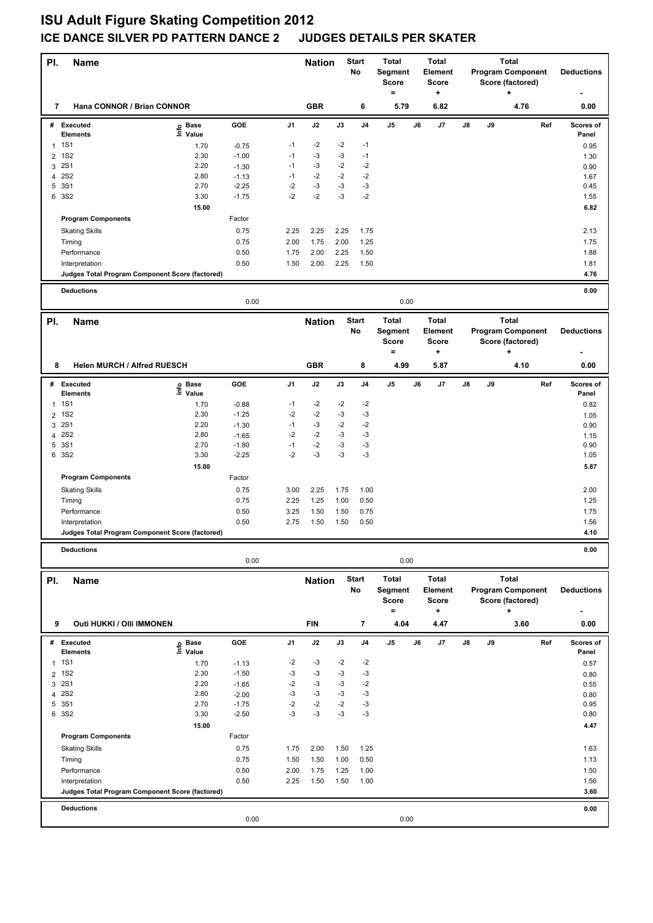| PI.            | <b>Name</b>                                            |                            |              |                | <b>Nation</b> |              | <b>Start</b><br>No | <b>Total</b><br>Segment<br><b>Score</b><br>$\equiv$ |    | <b>Total</b><br>Element<br><b>Score</b><br>٠ |               |    | Total<br><b>Program Component</b><br>Score (factored)<br>٠ |     | <b>Deductions</b>  |
|----------------|--------------------------------------------------------|----------------------------|--------------|----------------|---------------|--------------|--------------------|-----------------------------------------------------|----|----------------------------------------------|---------------|----|------------------------------------------------------------|-----|--------------------|
| 7              | Hana CONNOR / Brian CONNOR                             |                            |              |                | <b>GBR</b>    |              | 6                  | 5.79                                                |    | 6.82                                         |               |    | 4.76                                                       |     | 0.00               |
| #              | <b>Executed</b>                                        | e Base<br>⊑ Value          | GOE          | J1             | J2            | J3           | J <sub>4</sub>     | J5                                                  | J6 | J7                                           | J8            | J9 |                                                            | Ref | Scores of          |
| 1              | <b>Elements</b><br><b>1S1</b>                          | 1.70                       | $-0.75$      | -1             | -2            | $-2$         | $-1$               |                                                     |    |                                              |               |    |                                                            |     | Panel<br>0.95      |
| 2              | <b>1S2</b>                                             | 2.30                       | $-1.00$      | $-1$           | $-3$          | $-3$         | $-1$               |                                                     |    |                                              |               |    |                                                            |     | 1.30               |
| 3              | <b>2S1</b>                                             | 2.20                       | $-1.30$      | $-1$           | $-3$          | $-2$         | $-2$               |                                                     |    |                                              |               |    |                                                            |     | 0.90               |
| 4              | <b>2S2</b>                                             | 2.80                       | $-1.13$      | $-1$           | $-2$          | $-2$         | $-2$               |                                                     |    |                                              |               |    |                                                            |     | 1.67               |
| 5              | 3S1                                                    | 2.70                       | $-2.25$      | $-2$           | $-3$          | -3           | $-3$               |                                                     |    |                                              |               |    |                                                            |     | 0.45               |
| 6              | 3S2                                                    | 3.30                       | $-1.75$      | $-2$           | $-2$          | -3           | $-2$               |                                                     |    |                                              |               |    |                                                            |     | 1.55               |
|                |                                                        | 15.00                      |              |                |               |              |                    |                                                     |    |                                              |               |    |                                                            |     | 6.82               |
|                | <b>Program Components</b>                              |                            | Factor       |                |               |              |                    |                                                     |    |                                              |               |    |                                                            |     |                    |
|                | <b>Skating Skills</b>                                  |                            | 0.75         | 2.25           | 2.25          | 2.25         | 1.75               |                                                     |    |                                              |               |    |                                                            |     | 2.13               |
|                | Timing                                                 |                            | 0.75         | 2.00           | 1.75          | 2.00         | 1.25               |                                                     |    |                                              |               |    |                                                            |     | 1.75               |
|                | Performance                                            |                            | 0.50         | 1.75           | 2.00          | 2.25         | 1.50               |                                                     |    |                                              |               |    |                                                            |     | 1.88               |
|                | Interpretation                                         |                            | 0.50         | 1.50           | 2.00          | 2.25         | 1.50               |                                                     |    |                                              |               |    |                                                            |     | 1.81               |
|                | Judges Total Program Component Score (factored)        |                            |              |                |               |              |                    |                                                     |    |                                              |               |    |                                                            |     | 4.76               |
|                | <b>Deductions</b>                                      |                            |              |                |               |              |                    |                                                     |    |                                              |               |    |                                                            |     | 0.00               |
|                |                                                        |                            | 0.00         |                |               |              |                    | 0.00                                                |    |                                              |               |    |                                                            |     |                    |
| PI.            | <b>Name</b>                                            |                            |              |                | <b>Nation</b> |              | <b>Start</b>       | <b>Total</b>                                        |    | <b>Total</b>                                 |               |    | <b>Total</b>                                               |     |                    |
|                |                                                        |                            |              |                |               |              | No                 | Segment                                             |    | Element                                      |               |    | <b>Program Component</b>                                   |     | <b>Deductions</b>  |
|                |                                                        |                            |              |                |               |              |                    | <b>Score</b>                                        |    | <b>Score</b>                                 |               |    | Score (factored)                                           |     |                    |
|                |                                                        |                            |              |                |               |              |                    | $=$                                                 |    | ٠                                            |               |    | ÷                                                          |     |                    |
| 8              | <b>Helen MURCH / Alfred RUESCH</b>                     |                            |              |                | <b>GBR</b>    |              | 8                  | 4.99                                                |    | 5.87                                         |               |    | 4.10                                                       |     | 0.00               |
|                | # Executed<br><b>Elements</b>                          | e Base<br>E Value<br>Value | GOE          | J <sub>1</sub> | J2            | J3           | J <sub>4</sub>     | J5                                                  | J6 | J7                                           | J8            | J9 |                                                            | Ref | Scores of<br>Panel |
| 1              | <b>1S1</b>                                             | 1.70                       | $-0.88$      | -1             | $-2$          | $-2$         | $-2$               |                                                     |    |                                              |               |    |                                                            |     | 0.82               |
| $\overline{2}$ | <b>1S2</b>                                             | 2.30                       | $-1.25$      | $-2$           | $-2$          | $-3$         | $-3$               |                                                     |    |                                              |               |    |                                                            |     | 1.05               |
| 3              | <b>2S1</b>                                             | 2.20                       | $-1.30$      | $-1$           | -3            | $-2$         | $-2$               |                                                     |    |                                              |               |    |                                                            |     | 0.90               |
| 4              | <b>2S2</b>                                             | 2.80                       | $-1.65$      | $-2$           | $-2$          | $-3$         | $-3$               |                                                     |    |                                              |               |    |                                                            |     | 1.15               |
| 5              | 3S1                                                    | 2.70                       | $-1.80$      | $-1$           | $-2$          | $-3$         | $-3$               |                                                     |    |                                              |               |    |                                                            |     | 0.90               |
|                | 6 3S2                                                  | 3.30                       | $-2.25$      | $-2$           | -3            | -3           | $-3$               |                                                     |    |                                              |               |    |                                                            |     | 1.05               |
|                |                                                        | 15.00                      |              |                |               |              |                    |                                                     |    |                                              |               |    |                                                            |     | 5.87               |
|                | <b>Program Components</b>                              |                            | Factor       |                |               |              |                    |                                                     |    |                                              |               |    |                                                            |     |                    |
|                | <b>Skating Skills</b>                                  |                            | 0.75         | 3.00           | 2.25          | 1.75         | 1.00               |                                                     |    |                                              |               |    |                                                            |     | 2.00               |
|                | Timing                                                 |                            | 0.75         | 2.25           | 1.25          | 1.00         | 0.50               |                                                     |    |                                              |               |    |                                                            |     | 1.25               |
|                | Performance                                            |                            | 0.50         | 3.25           | 1.50          | 1.50         | 0.75               |                                                     |    |                                              |               |    |                                                            |     | 1.75               |
|                | Interpretation                                         |                            | 0.50         | 2.75           | 1.50          | 1.50         | 0.50               |                                                     |    |                                              |               |    |                                                            |     | 1.56               |
|                | <b>Judges Total Program Component Score (factored)</b> |                            |              |                |               |              |                    |                                                     |    |                                              |               |    |                                                            |     | 4.10               |
|                | <b>Deductions</b>                                      |                            |              |                |               |              |                    |                                                     |    |                                              |               |    |                                                            |     | 0.00               |
|                |                                                        |                            | 0.00         |                |               |              |                    | 0.00                                                |    |                                              |               |    |                                                            |     |                    |
| PI.            | <b>Name</b>                                            |                            |              |                | <b>Nation</b> |              | <b>Start</b>       | <b>Total</b>                                        |    | <b>Total</b>                                 |               |    | <b>Total</b>                                               |     |                    |
|                |                                                        |                            |              |                |               |              | No                 | Segment                                             |    | Element                                      |               |    | <b>Program Component</b>                                   |     | <b>Deductions</b>  |
|                |                                                        |                            |              |                |               |              |                    | Score<br>$=$                                        |    | <b>Score</b><br>$\ddot{}$                    |               |    | Score (factored)<br>٠                                      |     |                    |
| 9              | Outi HUKKI / Olli IMMONEN                              |                            |              |                | <b>FIN</b>    |              | $\overline{7}$     | 4.04                                                |    | 4.47                                         |               |    | 3.60                                                       |     | 0.00               |
|                | # Executed                                             |                            | GOE          | J1             | J2            | J3           | J <sub>4</sub>     | J5                                                  | J6 | J7                                           | $\mathsf{J}8$ | J9 |                                                            | Ref | Scores of          |
|                | Elements                                               | e Base<br>⊑ Value          |              |                |               |              |                    |                                                     |    |                                              |               |    |                                                            |     | Panel              |
| $\mathbf{1}$   | <b>1S1</b>                                             | 1.70                       | $-1.13$      | -2             | -3            | $-2$         | -2                 |                                                     |    |                                              |               |    |                                                            |     | 0.57               |
|                | 2 1S2                                                  | 2.30                       | $-1.50$      | $-3$           | $-3$          | -3           | $-3$               |                                                     |    |                                              |               |    |                                                            |     | 0.80               |
| 3              | <b>2S1</b>                                             | 2.20                       | $-1.65$      | $-2$           | $-3$          | -3           | $-2$               |                                                     |    |                                              |               |    |                                                            |     | 0.55               |
|                | 4 2 S 2                                                | 2.80                       | $-2.00$      | -3             | -3            | -3           | $-3$               |                                                     |    |                                              |               |    |                                                            |     | 0.80               |
|                | 5 3S1                                                  | 2.70                       | $-1.75$      | -2<br>$-3$     | $-2$          | $-2$         | $-3$               |                                                     |    |                                              |               |    |                                                            |     | 0.95               |
|                | 6 3S2                                                  | 3.30                       | $-2.50$      |                | $-3$          | $-3$         | $-3$               |                                                     |    |                                              |               |    |                                                            |     | 0.80               |
|                | <b>Program Components</b>                              | 15.00                      | Factor       |                |               |              |                    |                                                     |    |                                              |               |    |                                                            |     | 4.47               |
|                |                                                        |                            |              |                |               |              |                    |                                                     |    |                                              |               |    |                                                            |     |                    |
|                | <b>Skating Skills</b><br>Timing                        |                            | 0.75<br>0.75 | 1.75<br>1.50   | 2.00<br>1.50  | 1.50<br>1.00 | 1.25<br>0.50       |                                                     |    |                                              |               |    |                                                            |     | 1.63<br>1.13       |
|                | Performance                                            |                            | 0.50         | 2.00           | 1.75          | 1.25         | 1.00               |                                                     |    |                                              |               |    |                                                            |     | 1.50               |
|                | Interpretation                                         |                            | 0.50         | 2.25           | 1.50          | 1.50         | 1.00               |                                                     |    |                                              |               |    |                                                            |     | 1.56               |
|                | Judges Total Program Component Score (factored)        |                            |              |                |               |              |                    |                                                     |    |                                              |               |    |                                                            |     | 3.60               |
|                | <b>Deductions</b>                                      |                            |              |                |               |              |                    |                                                     |    |                                              |               |    |                                                            |     | 0.00               |
|                |                                                        |                            | 0.00         |                |               |              |                    | 0.00                                                |    |                                              |               |    |                                                            |     |                    |
|                |                                                        |                            |              |                |               |              |                    |                                                     |    |                                              |               |    |                                                            |     |                    |